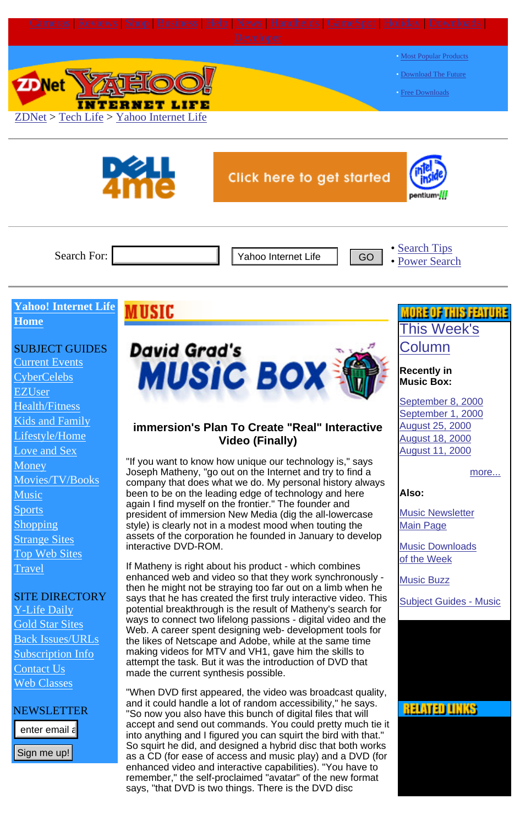<span id="page-0-0"></span>



Search For:

• [Search Tips](http://www.zdnet.com/filters/searchtips) [Power Search](http://xlink.zdnet.com/cgi-bin/texis/xlink/psearch/search.html)

### **Yahoo! Internet Life [Home](http://www.zdnet.com/yil/welcome.html)**

# SUBJECT GUIDES

[Current Events](http://www.zdnet.com/yil/filter/subjects/0,8786,6008397,00.html) [CyberCelebs](http://www.zdnet.com/yil/filter/subjects/0,8786,6008398,00.html) [EZUser](http://www.zdnet.com/yil/filters/channels/netezuser.html) [Health/Fitness](http://www.zdnet.com/yil/filter/subjects/0,8786,6008401,00.html) [Kids and Family](http://www.zdnet.com/yil/filter/subjects/0,8786,6008402,00.html) [Lifestyle/Home](http://www.zdnet.com/yil/filter/subjects/0,8786,6008403,00.html) [Love and Sex](http://www.zdnet.com/yil/filter/subjects/0,8786,6008404,00.html) **[Money](http://www.zdnet.com/yil/filter/subjects/0,8786,6008405,00.html)** Movies/TV/Books **[Music](http://www.zdnet.com/yil/filter/subjects/0,8786,6008407,00.html)** [Sports](http://www.zdnet.com/yil/filter/subjects/0,8786,6008408,00.html) [Shopping](http://www.zdnet.com/yil/filter/subjects/0,8786,6008409,00.html) [Strange Sites](http://www.zdnet.com/yil/filter/subjects/0,8786,6008410,00.html) [Top Web Sites](http://www.zdnet.com/yil/filter/subjects/0,8786,6011072,00.html) **[Travel](http://www.zdnet.com/yil/filter/subjects/0,8786,6008411,00.html)** 

### SITE DIRECTORY

[Y-Life Daily](http://www.zdnet.com/yil/filters/dailyjump.html) [Gold Star Sites](http://www.zdnet.com/yil/goldstars/index.html) Back Issues/URLs Subscription Info [Contact Us](http://www.zdnet.com/yil/content/misc/comments.html) [Web Classes](http://smartplanet.zdnet.com/fp.asp?layout=computing_home&learning_zone_id=4)

### NEWSLETTER

Sign me up!



# **immersion's Plan To Create "Real" Interactive Video (Finally)**

"If you want to know how unique our technology is," says Joseph Matheny, "go out on the Internet and try to find a company that does what we do. My personal history always been to be on the leading edge of technology and here again I find myself on the frontier." The founder and president of immersion New Media (dig the all-lowercase style) is clearly not in a modest mood when touting the assets of the corporation he founded in January to develop interactive DVD-ROM.

If Matheny is right about his product - which combines enhanced web and video so that they work synchronously then he might not be straying too far out on a limb when he says that he has created the first truly interactive video. This potential breakthrough is the result of Matheny's search for ways to connect two lifelong passions - digital video and the Web. A career spent designing web- development tools for the likes of Netscape and Adobe, while at the same time making videos for MTV and VH1, gave him the skills to attempt the task. But it was the introduction of DVD that made the current synthesis possible. Search For:<br>
Yahoo Internet Life Go<br>
School Internet Life **MUSIC**<br>
The comment Events of the **MUSIC Case of Action**<br>
Yever Clebs<br>
Yever Clebs<br>
Yever Clebs<br>
Yever Clebs<br>
State The Comment Events of the comment of the commen

"When DVD first appeared, the video was broadcast quality, and it could handle a lot of random accessibility," he says. "So now you also have this bunch of digital files that will accept and send out commands. You could pretty much tie it into anything and I figured you can squirt the bird with that." So squirt he did, and designed a hybrid disc that both works as a CD (for ease of access and music play) and a DVD (for enhanced video and interactive capabilities). "You have to remember," the self-proclaimed "avatar" of the new format says, "that DVD is two things. There is the DVD disc

# JOHE OF THIS FEVIUHE [This Week's](http://www.zdnet.com/yil/content/depts/musicbox/index.html) [Column](http://www.zdnet.com/yil/content/depts/musicbox/index.html)

#### **Recently in Music Box:**

[September 8, 2000](http://www.zdnet.com/yil/content/depts/musicbox/mbox000908.html) [September 1, 2000](http://www.zdnet.com/yil/content/depts/musicbox/mbox000901.html) [August 25, 2000](http://www.zdnet.com/yil/content/depts/musicbox/mbox000825.html) [August 18, 2000](http://www.zdnet.com/yil/content/depts/musicbox/mbox000818.html) [August 11, 2000](http://www.zdnet.com/yil/content/depts/musicbox/mbox000811.html)

[more...](http://www.zdnet.com/yil/content/depts/musicbox/mbarch.html)

**Also:**

[Music Newsletter](http://www.zdnet.com/yil/content/musicnews/subscribe.html) [Main Page](http://www.zdnet.com/yil/content/musicnews/subscribe.html)

[Music Downloads](http://www.zdnet.com/yil/content/depts/musicdownloads/index.html) [of the Week](http://www.zdnet.com/yil/content/depts/musicdownloads/index.html)

**[Music Buzz](http://www.zdnet.com/yil/content/depts/musicbuzz/index.html)** 

[Subject Guides - Music](http://www.zdnet.com/yil/filter/subjects/0,,6008407,00.html)

# **RELATED LINKS**